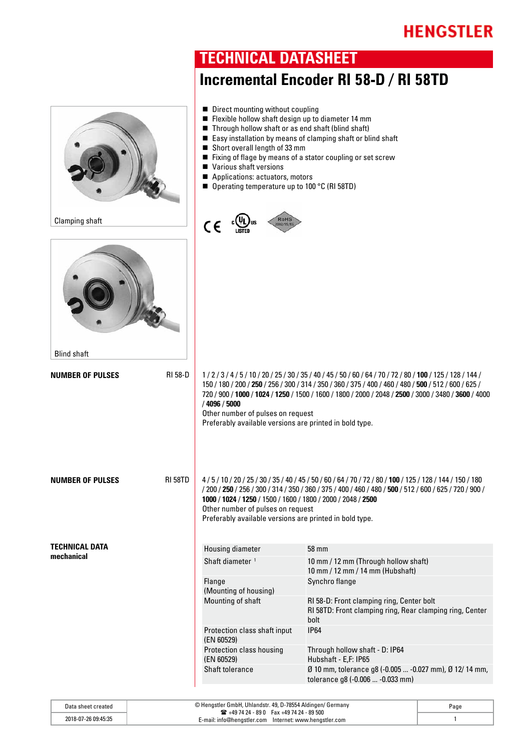## **Incremental Encoder RI 58-D / RI 58TD**  $\blacksquare$  Direct mounting without coupling  $\blacksquare$  Flexible hollow shaft design up to diameter 14 mm  $\blacksquare$  Through hollow shaft or as end shaft (blind shaft)  $\blacksquare$  Easy installation by means of clamping shaft or blind shaft ■ Short overall length of 33 mm  $\blacksquare$  Fixing of flage by means of a stator coupling or set screw  $\blacksquare$  Various shaft versions ■ Applications: actuators, motors ■ Operating temperature up to 100 °C (RI 58TD) Clamping shaft  $C \in$ Blind shaft **NUMBER OF PULSES** RI 58-D 1 / 2 / 3 / 4 / 5 / 10 / 20 / 25 / 30 / 35 / 40 / 45 / 50 / 60 / 64 / 70 / 72 / 80 / **100** / 125 / 128 / 144 / 150 / 180 / 200 / **250** / 256 / 300 / 314 / 350 / 360 / 375 / 400 / 460 / 480 / **500** / 512 / 600 / 625 / 720 / 900 / **1000** / **1024** / **1250** / 1500 / 1600 / 1800 / 2000 / 2048 / **2500** / 3000 / 3480 / **3600** / 4000 / **4096** / **5000**  Other number of pulses on request Preferably available versions are printed in bold type. **NUMBER OF PULSES** RI58TD  $4/5/10/20/25/30/35/40/45/50/60/64/70/72/80/100/125/128/144/150/180$ / 200 / **250** / 256 / 300 / 314 / 350 / 360 / 375 / 400 / 460 / 480 / **500** / 512 / 600 / 625 / 720 / 900 / **1000** / **1024** / **1250** / 1500 / 1600 / 1800 / 2000 / 2048 / **2500**  Other number of pulses on request Preferably available versions are printed in bold type. **TECHNICAL DATA**  Housing diameter 58 mm **mechanical**  Shaft diameter <sup>1</sup> 10 mm / 12 mm (Through hollow shaft) 10 mm / 12 mm / 14 mm (Hubshaft) Synchro flange Flange (Mounting of housing) Mounting of shaft RI 58-D: Front clamping ring, Center bolt RI 58TD: Front clamping ring, Rear clamping ring, Center bolt Protection class shaft input IP64 (EN 60529) Protection class housing Through hollow shaft - D: IP64 (EN 60529) Hubshaft - E,F: IP65

**TECHNICAL DATASHEET**

| Data sheet created  | © Hengstler GmbH, Uhlandstr. 49, D-78554 Aldingen/ Germany<br>$\mathbf{R}$ +49 74 24 - 89 0 Fax +49 74 24 - 89 500<br>E-mail: info@hengstler.com Internet: www.hengstler.com | Page |
|---------------------|------------------------------------------------------------------------------------------------------------------------------------------------------------------------------|------|
| 2018-07-26 09:45:35 |                                                                                                                                                                              |      |

Shaft tolerance Ø 10 mm, tolerance g8 (-0.005 ... -0.027 mm), Ø 12/ 14 mm, tolerance g8 (-0.006 ... -0.033 mm)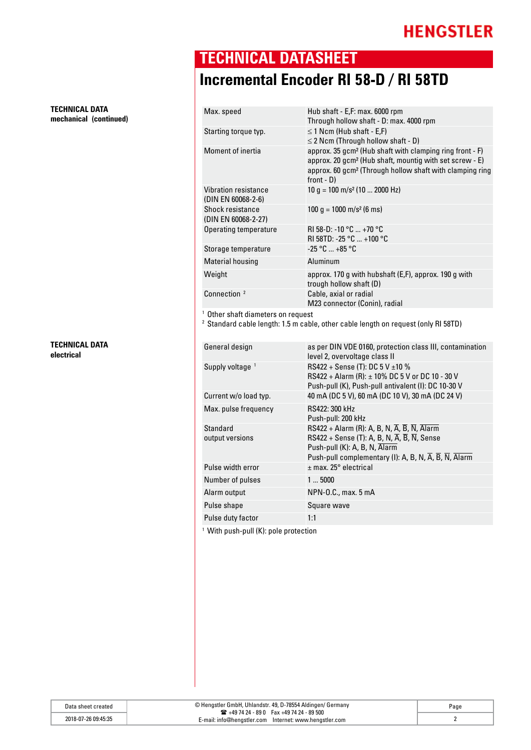### **TECHNICAL DATA mechanical (continued)**

**TECHNICAL DATA electrical** 

# **TECHNICAL DATASHEET Incremental Encoder RI 58-D / RI 58TD**

| Max. speed                                    | Hub shaft - E.F: max. 6000 rpm<br>Through hollow shaft - D: max. 4000 rpm                                                                                                                                                          |
|-----------------------------------------------|------------------------------------------------------------------------------------------------------------------------------------------------------------------------------------------------------------------------------------|
| Starting torque typ.                          | $\leq$ 1 Ncm (Hub shaft - E,F)<br>$\leq$ 2 Ncm (Through hollow shaft - D)                                                                                                                                                          |
| Moment of inertia                             | approx. 35 gcm <sup>2</sup> (Hub shaft with clamping ring front - F)<br>approx. 20 gcm <sup>2</sup> (Hub shaft, mountig with set screw - E)<br>approx. 60 gcm <sup>2</sup> (Through hollow shaft with clamping ring<br>$front - D$ |
| Vibration resistance<br>(DIN EN 60068-2-6)    | 10 $q = 100$ m/s <sup>2</sup> (10  2000 Hz)                                                                                                                                                                                        |
| Shock resistance<br>(DIN EN 60068-2-27)       | 100 $q = 1000$ m/s <sup>2</sup> (6 ms)                                                                                                                                                                                             |
| Operating temperature                         | RI 58-D: -10 °C  +70 °C<br>RI 58TD: -25 °C  +100 °C                                                                                                                                                                                |
| Storage temperature                           | $-25 °C  +85 °C$                                                                                                                                                                                                                   |
| <b>Material housing</b>                       | Aluminum                                                                                                                                                                                                                           |
| Weight                                        | approx. 170 g with hubshaft (E,F), approx. 190 g with<br>trough hollow shaft (D)                                                                                                                                                   |
| Connection <sup>2</sup>                       | Cable, axial or radial<br>M23 connector (Conin), radial                                                                                                                                                                            |
| <sup>1</sup> Other shaft diameters on request |                                                                                                                                                                                                                                    |
|                                               | <sup>2</sup> Standard cable length: 1.5 m cable, other cable length on request (only RI 58TD)                                                                                                                                      |
| General design                                | as per DIN VDE 0160, protection class III, contamination<br>level 2, overvoltage class II                                                                                                                                          |
| Supply voltage <sup>1</sup>                   | RS422 + Sense (T): DC 5 V $\pm$ 10 %<br>RS422 + Alarm (R): ± 10% DC 5 V or DC 10 - 30 V<br>Push-pull (K), Push-pull antivalent (I): DC 10-30 V                                                                                     |

| Current w/o load typ.       | 40 mA (DC 5 V), 60 mA (DC 10 V), 30 mA (DC 24 V)                                                                                                                                                                                                                                                                              |
|-----------------------------|-------------------------------------------------------------------------------------------------------------------------------------------------------------------------------------------------------------------------------------------------------------------------------------------------------------------------------|
| Max. pulse frequency        | RS422: 300 kHz<br>Push-pull: 200 kHz                                                                                                                                                                                                                                                                                          |
| Standard<br>output versions | RS422 + Alarm (R): A, B, N, $\overline{A}$ , $\overline{B}$ , $\overline{N}$ , Alarm<br>RS422 + Sense (T): A, B, N, $\overline{A}$ , $\overline{B}$ , $\overline{N}$ , Sense<br>Push-pull (K): A, B, N, Alarm<br>Push-pull complementary (I): A, B, N, $\overline{A}$ , $\overline{B}$ , $\overline{N}$ , $\overline{A}$ larm |
| Pulse width error           | $\pm$ max. 25 $^{\circ}$ electrical                                                                                                                                                                                                                                                                                           |
| Number of pulses            | 15000                                                                                                                                                                                                                                                                                                                         |
| Alarm output                | $NPN-0.C., max. 5 mA$                                                                                                                                                                                                                                                                                                         |
| Pulse shape                 | Square wave                                                                                                                                                                                                                                                                                                                   |
| Pulse duty factor           | 1:1                                                                                                                                                                                                                                                                                                                           |
|                             |                                                                                                                                                                                                                                                                                                                               |

<sup>1</sup> With push-pull (K): pole protection

| Data sheet created  | © Hengstler GmbH, Uhlandstr. 49, D-78554 Aldingen/ Germany                                                      | Page |
|---------------------|-----------------------------------------------------------------------------------------------------------------|------|
| 2018-07-26 09:45:35 | $\frac{1}{2}$ +49 74 24 - 89 0 Fax +49 74 24 - 89 500<br>E-mail: info@hengstler.com Internet: www.hengstler.com |      |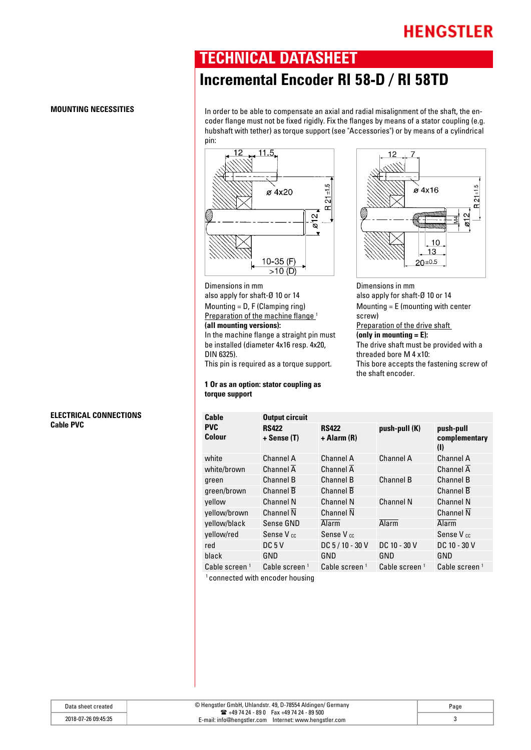## **TECHNICAL DATASHEET**

# **Incremental Encoder RI 58-D / RI 58TD**

**ELECTRICAL CONNECTIONS** 

**Cable PVC** 

**MOUNTING NECESSITIES In order to be able to compensate an axial and radial misalignment of the shaft, the en**coder flange must not be fixed rigidly. Fix the flanges by means of a stator coupling (e.g. hubshaft with tether) as torque support (see "Accessories") or by means of a cylindrical pin:



Dimensions in mm also apply for shaft-Ø 10 or 14 Mounting = D, F (Clamping ring)

Preparation of the machine flange<sup>1</sup> **(all mounting versions):**  In the machine flange a straight pin must

be installed (diameter 4x16 resp. 4x20, DIN 6325).

This pin is required as a torque support.

#### **1 Or as an option: stator coupling as torque support**



Dimensions in mm also apply for shaft-Ø 10 or 14 Mounting = E (mounting with center screw) Preparation of the drive shaft **(only in mounting = E):**  The drive shaft must be provided with a threaded bore M 4 x10: This bore accepts the fastening screw of the shaft encoder.

| Cable                                                    | <b>Output circuit</b>       |                                 |                           |                                   |
|----------------------------------------------------------|-----------------------------|---------------------------------|---------------------------|-----------------------------------|
| <b>PVC</b><br><b>Colour</b>                              | <b>RS422</b><br>+ Sense (T) | <b>RS422</b><br>$+$ Alarm $(R)$ | push-pull (K)             | push-pull<br>complementary<br>(1) |
| white                                                    | Channel A                   | Channel A                       | Channel A                 | Channel A                         |
| white/brown                                              | Channel A                   | Channel A                       |                           | Channel $\overline{A}$            |
| green                                                    | <b>Channel B</b>            | <b>Channel B</b>                | Channel B                 | <b>Channel B</b>                  |
| green/brown                                              | Channel B                   | <b>Channel B</b>                |                           | <b>Channel B</b>                  |
| yellow                                                   | Channel N                   | <b>Channel N</b>                | <b>Channel N</b>          | <b>Channel N</b>                  |
| yellow/brown                                             | Channel $\overline{N}$      | Channel $\overline{N}$          |                           | Channel $\overline{N}$            |
| yellow/black                                             | Sense GND                   | Alarm                           | <b>Alarm</b>              | Alarm                             |
| yellow/red                                               | Sense V <sub>cc</sub>       | Sense V <sub>cc</sub>           |                           | Sense V <sub>cc</sub>             |
| red                                                      | DC <sub>5</sub> V           | DC 5 / 10 - 30 V                | DC 10 - 30 V              | DC 10 - 30 V                      |
| black                                                    | GND                         | GND                             | GND                       | GND                               |
| Cable screen <sup>1</sup>                                | Cable screen <sup>1</sup>   | Cable screen 1                  | Cable screen <sup>1</sup> | Cable screen <sup>1</sup>         |
| 1 a che e che con al controle come e colleta le concelle |                             |                                 |                           |                                   |

 $^\circ$  connected with encoder housing

| Data sheet created  |  |
|---------------------|--|
| 2018-07-26 09:45:35 |  |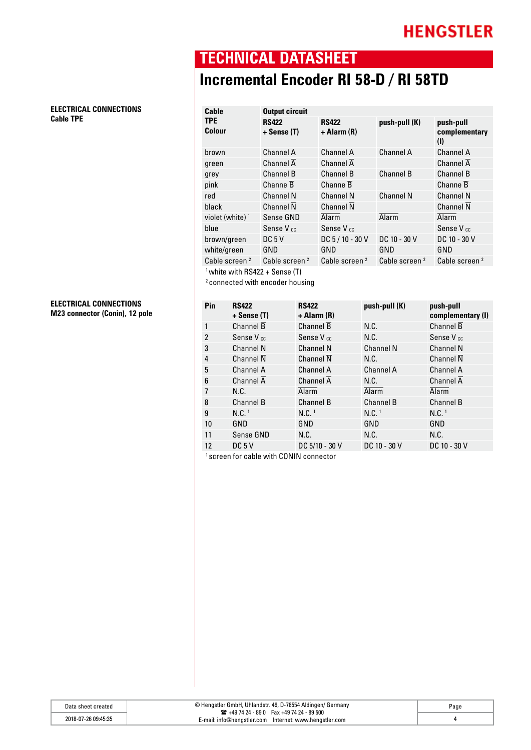**ELECTRICAL CONNECTIONS Cable TPE** 

**ELECTRICAL CONNECTIONS M23 connector (Conin), 12 pole** 

# **TECHNICAL DATASHEET**

# **Incremental Encoder RI 58-D / RI 58TD**

| Cable                       | <b>Output circuit</b>       |                             |                           |                                                            |  |
|-----------------------------|-----------------------------|-----------------------------|---------------------------|------------------------------------------------------------|--|
| <b>TPE</b><br><b>Colour</b> | <b>RS422</b><br>+ Sense (T) | <b>RS422</b><br>+ Alarm (R) | push-pull (K)             | push-pull<br>complementary<br>$\langle \mathbf{l} \rangle$ |  |
| brown                       | Channel A                   | Channel A                   | Channel A                 | Channel A                                                  |  |
| green                       | Channel $\overline{A}$      | Channel $\overline{A}$      |                           | Channel $\overline{A}$                                     |  |
| grey                        | <b>Channel B</b>            | <b>Channel B</b>            | <b>Channel B</b>          | <b>Channel B</b>                                           |  |
| pink                        | Channe B                    | Channe $\overline{B}$       |                           | Channe $\overline{B}$                                      |  |
| red                         | <b>Channel N</b>            | Channel N                   | <b>Channel N</b>          | <b>Channel N</b>                                           |  |
| black                       | <b>Channel N</b>            | <b>Channel N</b>            |                           | <b>Channel N</b>                                           |  |
| violet (white) $1$          | Sense GND                   | Alarm                       | Alarm                     | <b>Alarm</b>                                               |  |
| blue                        | Sense V <sub>cc</sub>       | Sense V <sub>cc</sub>       |                           | Sense $V_{nc}$                                             |  |
| brown/green                 | DC <sub>5</sub>             | DC 5 / 10 - 30 V            | DC 10 - 30 V              | DC 10 - 30 V                                               |  |
| white/green                 | GND                         | GND                         | GND                       | GND                                                        |  |
| Cable screen <sup>2</sup>   | Cable screen <sup>2</sup>   | Cable screen <sup>2</sup>   | Cable screen <sup>2</sup> | Cable screen <sup>2</sup>                                  |  |

<sup>1</sup> white with RS422 + Sense (T)

2 connected with encoder housing

| Pin | <b>RS422</b><br>$+$ Sense $(T)$ | <b>RS422</b><br>$+$ Alarm $(R)$ | push-pull (K)       | push-pull<br>complementary (I) |
|-----|---------------------------------|---------------------------------|---------------------|--------------------------------|
|     | Channel $\overline{B}$          | Channel $\overline{B}$          | N.C.                | Channel $\overline{B}$         |
| 2   | Sense V <sub>cc</sub>           | Sense V <sub>cc</sub>           | N.C.                | Sense V <sub>cc</sub>          |
| 3   | <b>Channel N</b>                | <b>Channel N</b>                | <b>Channel N</b>    | <b>Channel N</b>               |
| 4   | <b>Channel N</b>                | Channel N                       | N.C.                | <b>Channel N</b>               |
| 5   | <b>Channel A</b>                | Channel A                       | <b>Channel A</b>    | <b>Channel A</b>               |
| 6   | Channel $\overline{A}$          | Channel $\overline{A}$          | N.C.                | Channel $\overline{A}$         |
| 7   | N.C.                            | Alarm                           | <b>Alarm</b>        | Alarm                          |
| 8   | <b>Channel B</b>                | Channel B                       | <b>Channel B</b>    | <b>Channel B</b>               |
| 9   | $N.C.$ <sup>1</sup>             | $N.C.$ <sup>1</sup>             | $N.C.$ <sup>1</sup> | $N.C.$ <sup>1</sup>            |
| 10  | GND                             | GND                             | GND                 | GND                            |
| 11  | Sense GND                       | N.C.                            | N.C.                | N.C.                           |
| 12  | DC <sub>5</sub>                 | DC 5/10 - 30 V                  | DC 10 - 30 V        | DC 10 - 30 V                   |
|     |                                 |                                 |                     |                                |

1 screen for cable with CONIN connector

| Data sheet created  | © Hengstler GmbH, Uhlandstr. 49, D-78554 Aldingen/ Germany<br>$\mathbf{R}$ +49 74 24 - 89 0 Fax +49 74 24 - 89 500 | Page |
|---------------------|--------------------------------------------------------------------------------------------------------------------|------|
| 2018-07-26 09:45:35 | E-mail: info@henostler.com<br>Internet: www.henastler.com                                                          |      |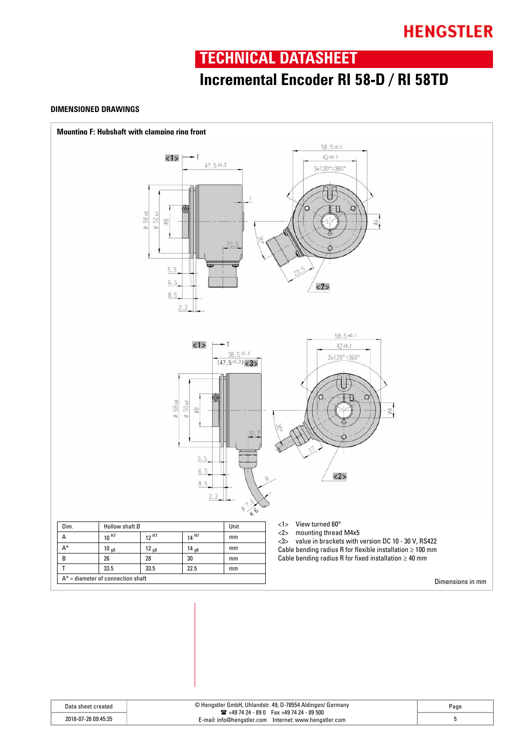## **TECHNICAL DATASHEET**

# **Incremental Encoder RI 58-D / RI 58TD**

#### **DIMENSIONED DRAWINGS**



| Data sheet created  | © Hengstler GmbH, Uhlandstr. 49, D-78554 Aldingen/ Germany<br>$\mathbf{R}$ +49 74 24 - 89 0 Fax +49 74 24 - 89 500 | Page |
|---------------------|--------------------------------------------------------------------------------------------------------------------|------|
| 2018-07-26 09:45:35 | E-mail: info@hengstler.com Internet: www.hengstler.com                                                             |      |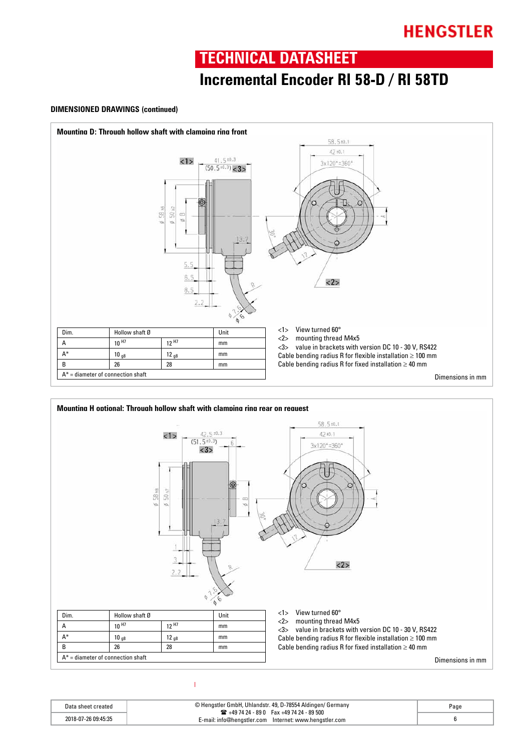## **TECHNICAL DATASHEET**

# **Incremental Encoder RI 58-D / RI 58TD**

#### **DIMENSIONED DRAWINGS (continued)**





| Vata sheet created  | © Hengstler GmbH, Uhlandstr. 49, D-78554 Aldingen/ Germany<br>$\mathbf{R}$ +49 74 24 - 89 0 Fax +49 74 24 - 89 500 | Page |
|---------------------|--------------------------------------------------------------------------------------------------------------------|------|
| 2018-07-26 09:45:35 | Internet: www.henastler.com<br>E-mail: info@henostler.com                                                          |      |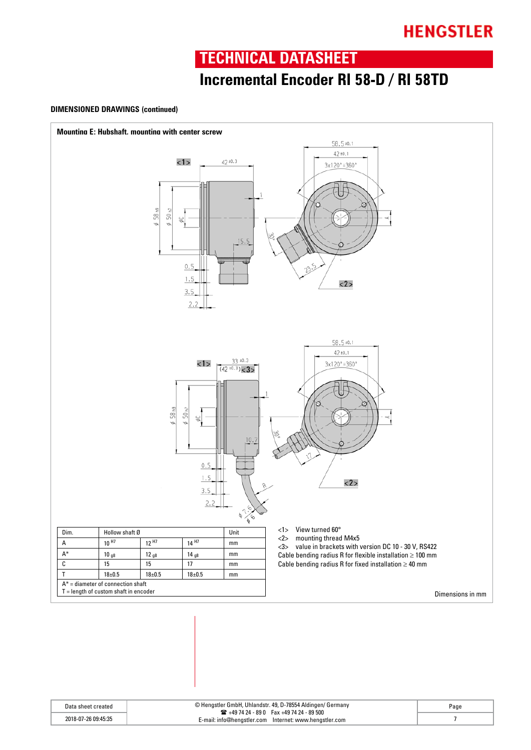## **TECHNICAL DATASHEET**

# **Incremental Encoder RI 58-D / RI 58TD**

### **DIMENSIONED DRAWINGS (continued)**



| Data sheet created  | © Hengstler GmbH, Uhlandstr. 49, D-78554 Aldingen/ Germany<br>$\mathbf{R}$ +49 74 24 - 89 0 Fax +49 74 24 - 89 500 | Page |
|---------------------|--------------------------------------------------------------------------------------------------------------------|------|
| 2018-07-26 09:45:35 | E-mail: info@hengstler.com Internet: www.hengstler.com                                                             |      |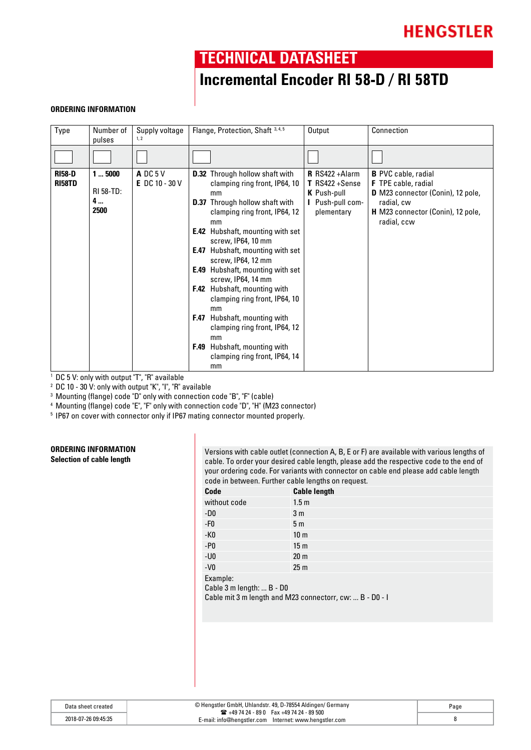## **TECHNICAL DATASHEET**

## **Incremental Encoder RI 58-D / RI 58TD**

### **ORDERING INFORMATION**

| Type                           | Number of<br>pulses                    | Supply voltage<br>1.2               | Flange, Protection, Shaft 3,4,5                                                                                                                                                                                                                                                                                                                                                                                                                                                                                                                                                                | Output                                                                                            | Connection                                                                                                                                                             |
|--------------------------------|----------------------------------------|-------------------------------------|------------------------------------------------------------------------------------------------------------------------------------------------------------------------------------------------------------------------------------------------------------------------------------------------------------------------------------------------------------------------------------------------------------------------------------------------------------------------------------------------------------------------------------------------------------------------------------------------|---------------------------------------------------------------------------------------------------|------------------------------------------------------------------------------------------------------------------------------------------------------------------------|
|                                |                                        |                                     |                                                                                                                                                                                                                                                                                                                                                                                                                                                                                                                                                                                                |                                                                                                   |                                                                                                                                                                        |
| <b>RI58-D</b><br><b>RI58TD</b> | 15000<br><b>RI 58-TD:</b><br>4<br>2500 | $A$ DC 5 V<br><b>E</b> DC 10 - 30 V | <b>D.32</b> Through hollow shaft with<br>clamping ring front, IP64, 10<br>mm<br><b>D.37</b> Through hollow shaft with<br>clamping ring front, IP64, 12<br>mm<br><b>E.42</b> Hubshaft, mounting with set<br>screw, IP64, 10 mm<br><b>E.47</b> Hubshaft, mounting with set<br>screw, IP64, 12 mm<br><b>E.49</b> Hubshaft, mounting with set<br>screw, IP64, 14 mm<br>F.42 Hubshaft, mounting with<br>clamping ring front, IP64, 10<br>mm<br>Hubshaft, mounting with<br>F.47<br>clamping ring front, IP64, 12<br>mm<br><b>F.49</b> Hubshaft, mounting with<br>clamping ring front, IP64, 14<br>mm | <b>R</b> RS422+Alarm<br>$T$ RS422 + Sense<br><b>K</b> Push-pull<br>I Push-pull com-<br>plementary | <b>B</b> PVC cable, radial<br><b>F</b> TPE cable, radial<br><b>D</b> M23 connector (Conin), 12 pole,<br>radial, cw<br>H M23 connector (Conin), 12 pole,<br>radial, ccw |

<sup>1</sup> DC 5 V: only with output "T", "R" available

<sup>2</sup> DC 10 - 30 V: only with output "K", "I", "R" available

<sup>3</sup> Mounting (flange) code "D" only with connection code "B", "F" (cable)

<sup>4</sup> Mounting (flange) code "E", "F" only with connection code "D", "H" (M23 connector)

<sup>5</sup> IP67 on cover with connector only if IP67 mating connector mounted properly.

### **ORDERING INFORMATION**

**SELECT ORDERING INFORMATION** Versions with cable outlet (connection A, B, E or F) are available with various lengths of **Selection of cable lengths of** cable **Selection of cable lengths** of **Selection of cable length**  $\alpha$ cable. To order your desired cable length, please add the respective code to the end of your ordering code. For variants with connector on cable end please add cable length code in between. Further cable lengths on request.

| Code         | <b>Cable length</b> |
|--------------|---------------------|
| without code | 1.5 <sub>m</sub>    |
| $-D0$        | 3 <sub>m</sub>      |
| $-F0$        | 5 <sub>m</sub>      |
| $-K0$        | 10 <sub>m</sub>     |
| $- P 0$      | 15 <sub>m</sub>     |
| $-U0$        | 20 <sub>m</sub>     |
| $-V0$        | 25 <sub>m</sub>     |
| Example:     |                     |

Cable 3 m length: ... B - D0

Cable mit 3 m length and M23 connectorr, cw: ... B - D0 - I

| Data sheet created  | © Hengstler GmbH, Uhlandstr. 49, D-78554 Aldingen/ Germany<br>$\mathbf{R}$ +49 74 24 - 89 0 Fax +49 74 24 - 89 500 | Page |
|---------------------|--------------------------------------------------------------------------------------------------------------------|------|
| 2018-07-26 09:45:35 | E-mail: info@hengstler.com Internet: www.hengstler.com                                                             |      |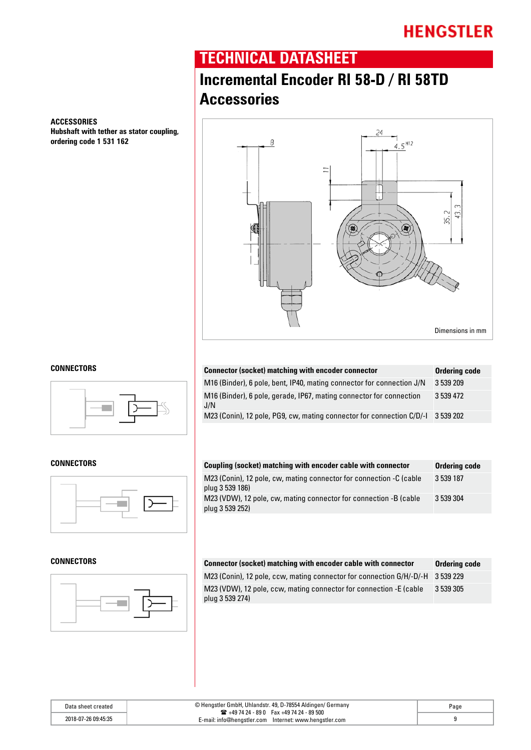## **TECHNICAL DATASHEET**

# **Incremental Encoder RI 58-D / RI 58TD Accessories**

**ACCESSORIES Hubshaft with tether as stator coupling, ordering code 1 531 162**





| CONNECTORS | <b>Connector (socket) matching with encoder connector</b>                       | <b>Ordering code</b> |
|------------|---------------------------------------------------------------------------------|----------------------|
|            | M16 (Binder), 6 pole, bent, IP40, mating connector for connection J/N           | 3 539 209            |
|            | M16 (Binder), 6 pole, gerade, IP67, mating connector for connection<br>J/N      | 3 539 472            |
|            | M23 (Conin), 12 pole, PG9, cw, mating connector for connection C/D/-I 3 539 202 |                      |
|            |                                                                                 |                      |





| CONNECTORS | Coupling (socket) matching with encoder cable with connector                           | Ordering code |
|------------|----------------------------------------------------------------------------------------|---------------|
|            | M23 (Conin), 12 pole, cw, mating connector for connection -C (cable<br>plug 3 539 186) | 3 539 187     |
|            | M23 (VDW), 12 pole, cw, mating connector for connection -B (cable<br>plug 3 539 252)   | 3 539 304     |
|            |                                                                                        |               |

| CONNECTORS | Connector (socket) matching with encoder cable with connector                         | <b>Ordering code</b> |
|------------|---------------------------------------------------------------------------------------|----------------------|
|            | M23 (Conin), 12 pole, ccw, mating connector for connection G/H/-D/-H 3 539 229        |                      |
|            | M23 (VDW), 12 pole, ccw, mating connector for connection -E (cable<br>plug 3 539 274) | 3 539 305            |

| Data sheet created  | © Hengstler GmbH, Uhlandstr. 49, D-78554 Aldingen/ Germany<br>$\mathbf{R}$ +49 74 24 - 89 0 Fax +49 74 24 - 89 500 | Page |
|---------------------|--------------------------------------------------------------------------------------------------------------------|------|
| 2018-07-26 09:45:35 | E-mail: info@hengstler.com Internet: www.hengstler.com                                                             |      |